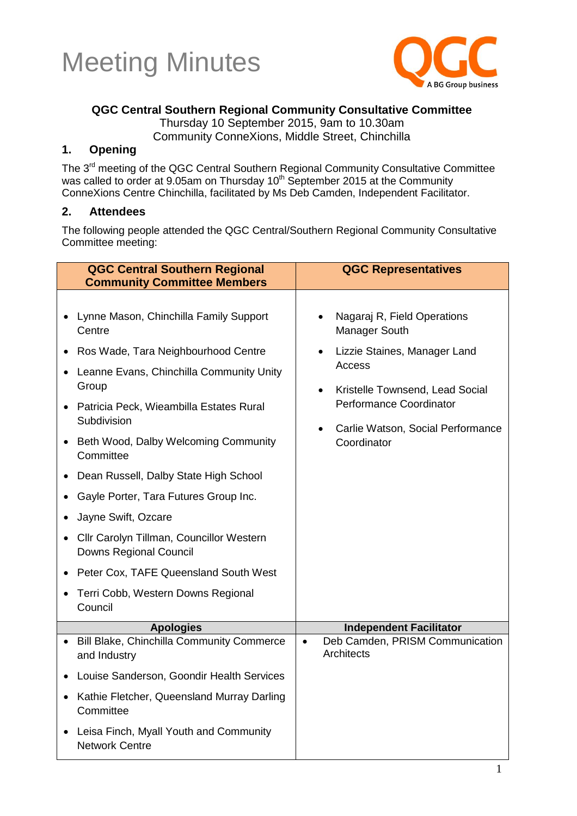



#### **QGC Central Southern Regional Community Consultative Committee**

Thursday 10 September 2015, 9am to 10.30am

Community ConneXions, Middle Street, Chinchilla

#### **1. Opening**

The 3<sup>rd</sup> meeting of the QGC Central Southern Regional Community Consultative Committee was called to order at 9.05am on Thursday 10<sup>th</sup> September 2015 at the Community ConneXions Centre Chinchilla, facilitated by Ms Deb Camden, Independent Facilitator.

#### **2. Attendees**

The following people attended the QGC Central/Southern Regional Community Consultative Committee meeting:

| <b>QGC Central Southern Regional</b><br><b>Community Committee Members</b>                                                                                                                                                                                                                                                                                                                                                                                                                                                                                                                                                         | <b>QGC Representatives</b>                                                                                                                                                                                                                      |
|------------------------------------------------------------------------------------------------------------------------------------------------------------------------------------------------------------------------------------------------------------------------------------------------------------------------------------------------------------------------------------------------------------------------------------------------------------------------------------------------------------------------------------------------------------------------------------------------------------------------------------|-------------------------------------------------------------------------------------------------------------------------------------------------------------------------------------------------------------------------------------------------|
| • Lynne Mason, Chinchilla Family Support<br>Centre<br>Ros Wade, Tara Neighbourhood Centre<br>Leanne Evans, Chinchilla Community Unity<br>$\bullet$<br>Group<br>• Patricia Peck, Wieambilla Estates Rural<br>Subdivision<br>Beth Wood, Dalby Welcoming Community<br>$\bullet$<br>Committee<br>Dean Russell, Dalby State High School<br>$\bullet$<br>Gayle Porter, Tara Futures Group Inc.<br>٠<br>Jayne Swift, Ozcare<br>$\bullet$<br>Cllr Carolyn Tillman, Councillor Western<br>$\bullet$<br><b>Downs Regional Council</b><br>Peter Cox, TAFE Queensland South West<br>Terri Cobb, Western Downs Regional<br>$\bullet$<br>Council | Nagaraj R, Field Operations<br>Manager South<br>Lizzie Staines, Manager Land<br>$\bullet$<br>Access<br>Kristelle Townsend, Lead Social<br>$\bullet$<br>Performance Coordinator<br>Carlie Watson, Social Performance<br>$\bullet$<br>Coordinator |
| <b>Apologies</b>                                                                                                                                                                                                                                                                                                                                                                                                                                                                                                                                                                                                                   | <b>Independent Facilitator</b>                                                                                                                                                                                                                  |
| • Bill Blake, Chinchilla Community Commerce<br>and Industry                                                                                                                                                                                                                                                                                                                                                                                                                                                                                                                                                                        | Deb Camden, PRISM Communication<br>$\bullet$<br><b>Architects</b>                                                                                                                                                                               |
| Louise Sanderson, Goondir Health Services                                                                                                                                                                                                                                                                                                                                                                                                                                                                                                                                                                                          |                                                                                                                                                                                                                                                 |
| Kathie Fletcher, Queensland Murray Darling<br>$\bullet$<br>Committee                                                                                                                                                                                                                                                                                                                                                                                                                                                                                                                                                               |                                                                                                                                                                                                                                                 |
| Leisa Finch, Myall Youth and Community<br>$\bullet$<br><b>Network Centre</b>                                                                                                                                                                                                                                                                                                                                                                                                                                                                                                                                                       |                                                                                                                                                                                                                                                 |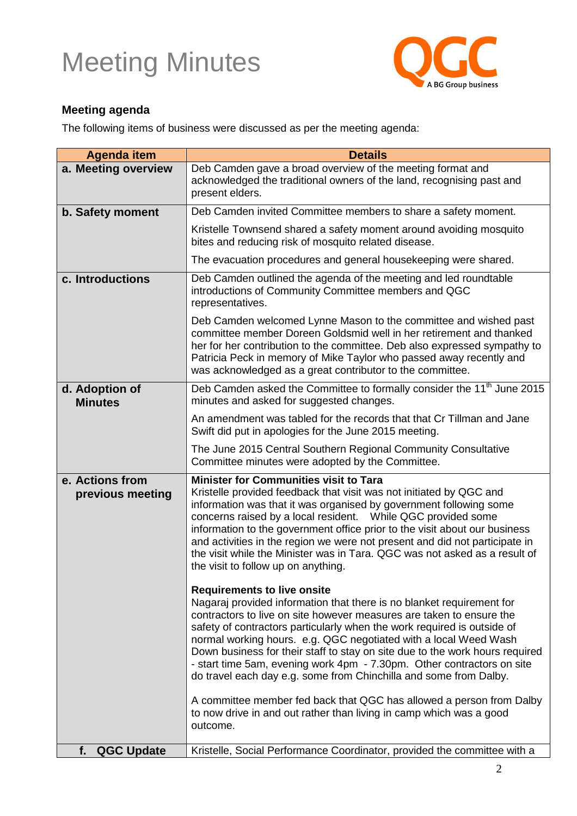

#### **Meeting agenda**

The following items of business were discussed as per the meeting agenda:

| <b>Agenda item</b>                  | <b>Details</b>                                                                                                                                                                                                                                                                                                                                                                                                                                                                                                                                                                                                                                                                                                   |
|-------------------------------------|------------------------------------------------------------------------------------------------------------------------------------------------------------------------------------------------------------------------------------------------------------------------------------------------------------------------------------------------------------------------------------------------------------------------------------------------------------------------------------------------------------------------------------------------------------------------------------------------------------------------------------------------------------------------------------------------------------------|
| a. Meeting overview                 | Deb Camden gave a broad overview of the meeting format and<br>acknowledged the traditional owners of the land, recognising past and<br>present elders.                                                                                                                                                                                                                                                                                                                                                                                                                                                                                                                                                           |
| b. Safety moment                    | Deb Camden invited Committee members to share a safety moment.                                                                                                                                                                                                                                                                                                                                                                                                                                                                                                                                                                                                                                                   |
|                                     | Kristelle Townsend shared a safety moment around avoiding mosquito<br>bites and reducing risk of mosquito related disease.                                                                                                                                                                                                                                                                                                                                                                                                                                                                                                                                                                                       |
|                                     | The evacuation procedures and general housekeeping were shared.                                                                                                                                                                                                                                                                                                                                                                                                                                                                                                                                                                                                                                                  |
| c. Introductions                    | Deb Camden outlined the agenda of the meeting and led roundtable<br>introductions of Community Committee members and QGC<br>representatives.                                                                                                                                                                                                                                                                                                                                                                                                                                                                                                                                                                     |
|                                     | Deb Camden welcomed Lynne Mason to the committee and wished past<br>committee member Doreen Goldsmid well in her retirement and thanked<br>her for her contribution to the committee. Deb also expressed sympathy to<br>Patricia Peck in memory of Mike Taylor who passed away recently and<br>was acknowledged as a great contributor to the committee.                                                                                                                                                                                                                                                                                                                                                         |
| d. Adoption of<br><b>Minutes</b>    | Deb Camden asked the Committee to formally consider the 11 <sup>th</sup> June 2015<br>minutes and asked for suggested changes.                                                                                                                                                                                                                                                                                                                                                                                                                                                                                                                                                                                   |
|                                     | An amendment was tabled for the records that that Cr Tillman and Jane<br>Swift did put in apologies for the June 2015 meeting.                                                                                                                                                                                                                                                                                                                                                                                                                                                                                                                                                                                   |
|                                     | The June 2015 Central Southern Regional Community Consultative<br>Committee minutes were adopted by the Committee.                                                                                                                                                                                                                                                                                                                                                                                                                                                                                                                                                                                               |
| e. Actions from<br>previous meeting | <b>Minister for Communities visit to Tara</b><br>Kristelle provided feedback that visit was not initiated by QGC and<br>information was that it was organised by government following some<br>concerns raised by a local resident.  While QGC provided some<br>information to the government office prior to the visit about our business<br>and activities in the region we were not present and did not participate in<br>the visit while the Minister was in Tara, QGC was not asked as a result of<br>the visit to follow up on anything.                                                                                                                                                                    |
|                                     | <b>Requirements to live onsite</b><br>Nagaraj provided information that there is no blanket requirement for<br>contractors to live on site however measures are taken to ensure the<br>safety of contractors particularly when the work required is outside of<br>normal working hours. e.g. QGC negotiated with a local Weed Wash<br>Down business for their staff to stay on site due to the work hours required<br>- start time 5am, evening work 4pm - 7.30pm. Other contractors on site<br>do travel each day e.g. some from Chinchilla and some from Dalby.<br>A committee member fed back that QGC has allowed a person from Dalby<br>to now drive in and out rather than living in camp which was a good |
|                                     | outcome.                                                                                                                                                                                                                                                                                                                                                                                                                                                                                                                                                                                                                                                                                                         |
| <b>QGC Update</b><br>f.             | Kristelle, Social Performance Coordinator, provided the committee with a                                                                                                                                                                                                                                                                                                                                                                                                                                                                                                                                                                                                                                         |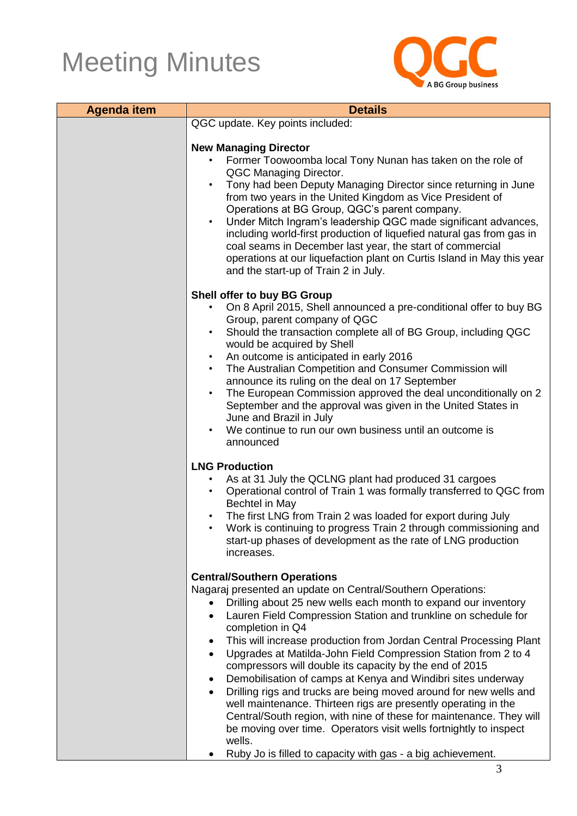

| <b>Agenda item</b> | <b>Details</b>                                                                                                                                                                                                                                                                                                                                                                      |  |
|--------------------|-------------------------------------------------------------------------------------------------------------------------------------------------------------------------------------------------------------------------------------------------------------------------------------------------------------------------------------------------------------------------------------|--|
|                    | QGC update. Key points included:                                                                                                                                                                                                                                                                                                                                                    |  |
|                    |                                                                                                                                                                                                                                                                                                                                                                                     |  |
|                    | <b>New Managing Director</b><br>Former Toowoomba local Tony Nunan has taken on the role of<br>QGC Managing Director.<br>Tony had been Deputy Managing Director since returning in June<br>from two years in the United Kingdom as Vice President of<br>Operations at BG Group, QGC's parent company.<br>Under Mitch Ingram's leadership QGC made significant advances,<br>$\bullet$ |  |
|                    | including world-first production of liquefied natural gas from gas in<br>coal seams in December last year, the start of commercial<br>operations at our liquefaction plant on Curtis Island in May this year<br>and the start-up of Train 2 in July.                                                                                                                                |  |
|                    | Shell offer to buy BG Group                                                                                                                                                                                                                                                                                                                                                         |  |
|                    | On 8 April 2015, Shell announced a pre-conditional offer to buy BG<br>$\bullet$                                                                                                                                                                                                                                                                                                     |  |
|                    | Group, parent company of QGC<br>Should the transaction complete all of BG Group, including QGC<br>$\bullet$<br>would be acquired by Shell                                                                                                                                                                                                                                           |  |
|                    | An outcome is anticipated in early 2016<br>$\bullet$                                                                                                                                                                                                                                                                                                                                |  |
|                    | The Australian Competition and Consumer Commission will<br>$\bullet$                                                                                                                                                                                                                                                                                                                |  |
|                    | announce its ruling on the deal on 17 September                                                                                                                                                                                                                                                                                                                                     |  |
|                    | The European Commission approved the deal unconditionally on 2<br>$\bullet$<br>September and the approval was given in the United States in<br>June and Brazil in July                                                                                                                                                                                                              |  |
|                    | We continue to run our own business until an outcome is                                                                                                                                                                                                                                                                                                                             |  |
|                    | announced                                                                                                                                                                                                                                                                                                                                                                           |  |
|                    |                                                                                                                                                                                                                                                                                                                                                                                     |  |
|                    | <b>LNG Production</b><br>As at 31 July the QCLNG plant had produced 31 cargoes                                                                                                                                                                                                                                                                                                      |  |
|                    | Operational control of Train 1 was formally transferred to QGC from<br>Bechtel in May                                                                                                                                                                                                                                                                                               |  |
|                    | The first LNG from Train 2 was loaded for export during July                                                                                                                                                                                                                                                                                                                        |  |
|                    | Work is continuing to progress Train 2 through commissioning and<br>$\bullet$                                                                                                                                                                                                                                                                                                       |  |
|                    | start-up phases of development as the rate of LNG production<br>increases.                                                                                                                                                                                                                                                                                                          |  |
|                    |                                                                                                                                                                                                                                                                                                                                                                                     |  |
|                    | <b>Central/Southern Operations</b>                                                                                                                                                                                                                                                                                                                                                  |  |
|                    | Nagaraj presented an update on Central/Southern Operations:<br>Drilling about 25 new wells each month to expand our inventory                                                                                                                                                                                                                                                       |  |
|                    | Lauren Field Compression Station and trunkline on schedule for<br>$\bullet$<br>completion in Q4                                                                                                                                                                                                                                                                                     |  |
|                    | This will increase production from Jordan Central Processing Plant<br>٠                                                                                                                                                                                                                                                                                                             |  |
|                    | Upgrades at Matilda-John Field Compression Station from 2 to 4<br>$\bullet$<br>compressors will double its capacity by the end of 2015                                                                                                                                                                                                                                              |  |
|                    | Demobilisation of camps at Kenya and Windibri sites underway<br>$\bullet$                                                                                                                                                                                                                                                                                                           |  |
|                    | Drilling rigs and trucks are being moved around for new wells and                                                                                                                                                                                                                                                                                                                   |  |
|                    | well maintenance. Thirteen rigs are presently operating in the<br>Central/South region, with nine of these for maintenance. They will                                                                                                                                                                                                                                               |  |
|                    | be moving over time. Operators visit wells fortnightly to inspect<br>wells.                                                                                                                                                                                                                                                                                                         |  |
|                    | Ruby Jo is filled to capacity with gas - a big achievement.                                                                                                                                                                                                                                                                                                                         |  |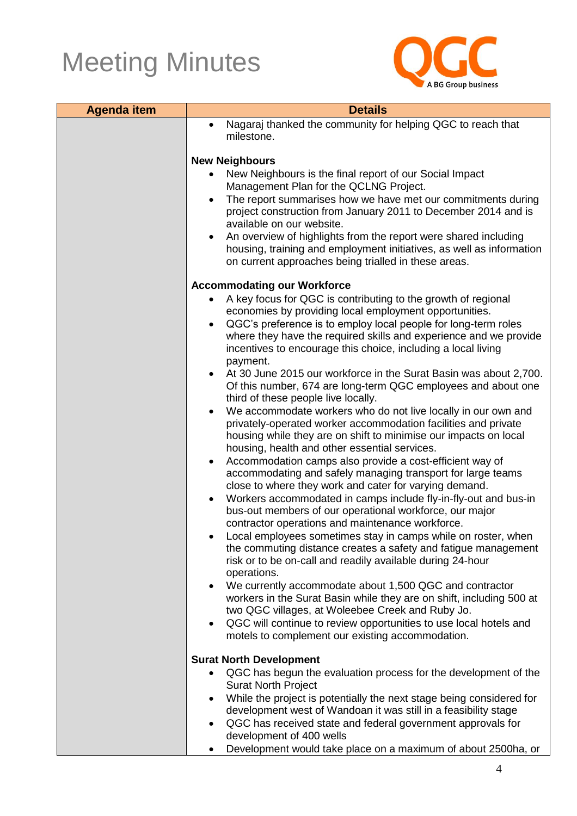

| <b>Agenda item</b> | <b>Details</b>                                                                                                                               |  |
|--------------------|----------------------------------------------------------------------------------------------------------------------------------------------|--|
|                    | Nagaraj thanked the community for helping QGC to reach that<br>$\bullet$                                                                     |  |
|                    | milestone.                                                                                                                                   |  |
|                    | <b>New Neighbours</b>                                                                                                                        |  |
|                    | New Neighbours is the final report of our Social Impact                                                                                      |  |
|                    | Management Plan for the QCLNG Project.                                                                                                       |  |
|                    | The report summarises how we have met our commitments during<br>$\bullet$                                                                    |  |
|                    | project construction from January 2011 to December 2014 and is<br>available on our website.                                                  |  |
|                    | An overview of highlights from the report were shared including<br>$\bullet$                                                                 |  |
|                    | housing, training and employment initiatives, as well as information                                                                         |  |
|                    | on current approaches being trialled in these areas.                                                                                         |  |
|                    | <b>Accommodating our Workforce</b>                                                                                                           |  |
|                    | A key focus for QGC is contributing to the growth of regional<br>$\bullet$                                                                   |  |
|                    | economies by providing local employment opportunities.                                                                                       |  |
|                    | QGC's preference is to employ local people for long-term roles<br>$\bullet$                                                                  |  |
|                    | where they have the required skills and experience and we provide<br>incentives to encourage this choice, including a local living           |  |
|                    | payment.                                                                                                                                     |  |
|                    | At 30 June 2015 our workforce in the Surat Basin was about 2,700.<br>$\bullet$                                                               |  |
|                    | Of this number, 674 are long-term QGC employees and about one                                                                                |  |
|                    | third of these people live locally.                                                                                                          |  |
|                    | We accommodate workers who do not live locally in our own and<br>$\bullet$<br>privately-operated worker accommodation facilities and private |  |
|                    | housing while they are on shift to minimise our impacts on local                                                                             |  |
|                    | housing, health and other essential services.                                                                                                |  |
|                    | Accommodation camps also provide a cost-efficient way of<br>$\bullet$                                                                        |  |
|                    | accommodating and safely managing transport for large teams                                                                                  |  |
|                    | close to where they work and cater for varying demand.<br>Workers accommodated in camps include fly-in-fly-out and bus-in<br>$\bullet$       |  |
|                    | bus-out members of our operational workforce, our major                                                                                      |  |
|                    | contractor operations and maintenance workforce.                                                                                             |  |
|                    | Local employees sometimes stay in camps while on roster, when                                                                                |  |
|                    | the commuting distance creates a safety and fatigue management<br>risk or to be on-call and readily available during 24-hour                 |  |
|                    | operations.                                                                                                                                  |  |
|                    | • We currently accommodate about 1,500 QGC and contractor                                                                                    |  |
|                    | workers in the Surat Basin while they are on shift, including 500 at                                                                         |  |
|                    | two QGC villages, at Woleebee Creek and Ruby Jo.                                                                                             |  |
|                    | QGC will continue to review opportunities to use local hotels and<br>$\bullet$<br>motels to complement our existing accommodation.           |  |
|                    |                                                                                                                                              |  |
|                    | <b>Surat North Development</b>                                                                                                               |  |
|                    | QGC has begun the evaluation process for the development of the<br>$\bullet$<br><b>Surat North Project</b>                                   |  |
|                    | While the project is potentially the next stage being considered for<br>$\bullet$                                                            |  |
|                    | development west of Wandoan it was still in a feasibility stage                                                                              |  |
|                    | QGC has received state and federal government approvals for<br>$\bullet$                                                                     |  |
|                    | development of 400 wells                                                                                                                     |  |
|                    | Development would take place on a maximum of about 2500ha, or<br>$\bullet$                                                                   |  |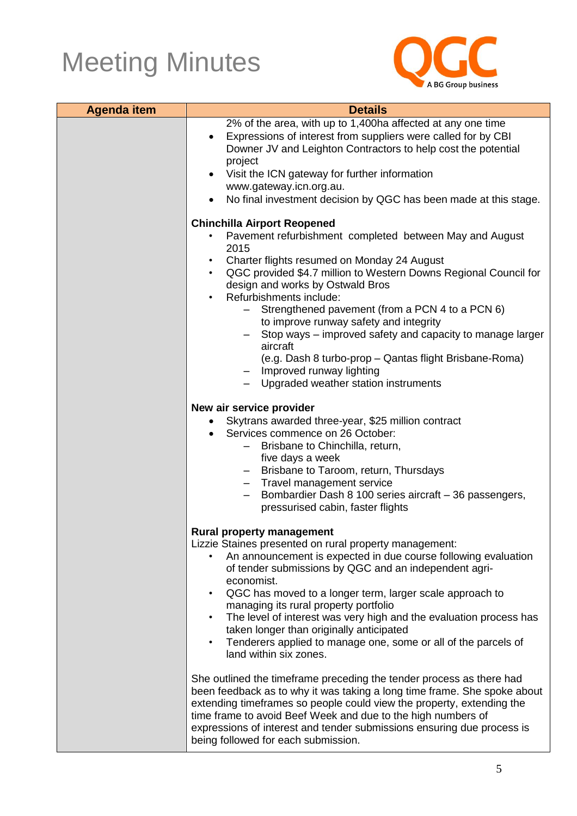

| <b>Agenda item</b> | <b>Details</b>                                                                                                                                                                                                                                                                                                                                                                                                                                                                                                                                                                                                              |
|--------------------|-----------------------------------------------------------------------------------------------------------------------------------------------------------------------------------------------------------------------------------------------------------------------------------------------------------------------------------------------------------------------------------------------------------------------------------------------------------------------------------------------------------------------------------------------------------------------------------------------------------------------------|
|                    | 2% of the area, with up to 1,400ha affected at any one time<br>Expressions of interest from suppliers were called for by CBI<br>Downer JV and Leighton Contractors to help cost the potential<br>project<br>• Visit the ICN gateway for further information<br>www.gateway.icn.org.au.<br>No final investment decision by QGC has been made at this stage.                                                                                                                                                                                                                                                                  |
|                    | <b>Chinchilla Airport Reopened</b><br>Pavement refurbishment completed between May and August<br>2015<br>Charter flights resumed on Monday 24 August<br>$\bullet$<br>QGC provided \$4.7 million to Western Downs Regional Council for<br>$\bullet$ .<br>design and works by Ostwald Bros<br>Refurbishments include:<br>Strengthened pavement (from a PCN 4 to a PCN 6)<br>to improve runway safety and integrity<br>Stop ways – improved safety and capacity to manage larger<br>aircraft<br>(e.g. Dash 8 turbo-prop – Qantas flight Brisbane-Roma)<br>- Improved runway lighting<br>- Upgraded weather station instruments |
|                    | New air service provider<br>Skytrans awarded three-year, \$25 million contract<br>Services commence on 26 October:<br>$\bullet$<br>Brisbane to Chinchilla, return,<br>-<br>five days a week<br>- Brisbane to Taroom, return, Thursdays<br>- Travel management service<br>Bombardier Dash 8 100 series aircraft - 36 passengers,<br>pressurised cabin, faster flights                                                                                                                                                                                                                                                        |
|                    | <b>Rural property management</b><br>Lizzie Staines presented on rural property management:<br>An announcement is expected in due course following evaluation<br>of tender submissions by QGC and an independent agri-<br>economist.<br>QGC has moved to a longer term, larger scale approach to<br>$\bullet$<br>managing its rural property portfolio<br>The level of interest was very high and the evaluation process has<br>$\bullet$<br>taken longer than originally anticipated<br>Tenderers applied to manage one, some or all of the parcels of<br>$\bullet$<br>land within six zones.                               |
|                    | She outlined the timeframe preceding the tender process as there had<br>been feedback as to why it was taking a long time frame. She spoke about<br>extending timeframes so people could view the property, extending the<br>time frame to avoid Beef Week and due to the high numbers of<br>expressions of interest and tender submissions ensuring due process is<br>being followed for each submission.                                                                                                                                                                                                                  |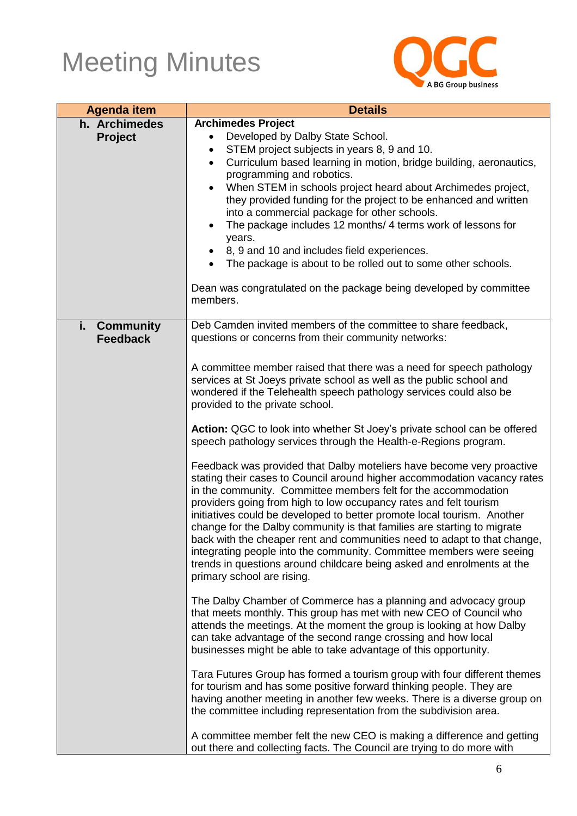

| <b>Agenda item</b>                        | <b>Details</b>                                                                                                                                                                                                                                                                                                                                                                                                                                                                                                                                                                                                                                                                                                                                                                                                                                                                                                                                                                                                                                                                                                                                                                                                                                                                                                                                                                                                                                                                                                                                                                                                                                                                                                                                                                                                                                                                                                                                                                                                                                             |
|-------------------------------------------|------------------------------------------------------------------------------------------------------------------------------------------------------------------------------------------------------------------------------------------------------------------------------------------------------------------------------------------------------------------------------------------------------------------------------------------------------------------------------------------------------------------------------------------------------------------------------------------------------------------------------------------------------------------------------------------------------------------------------------------------------------------------------------------------------------------------------------------------------------------------------------------------------------------------------------------------------------------------------------------------------------------------------------------------------------------------------------------------------------------------------------------------------------------------------------------------------------------------------------------------------------------------------------------------------------------------------------------------------------------------------------------------------------------------------------------------------------------------------------------------------------------------------------------------------------------------------------------------------------------------------------------------------------------------------------------------------------------------------------------------------------------------------------------------------------------------------------------------------------------------------------------------------------------------------------------------------------------------------------------------------------------------------------------------------------|
| h. Archimedes<br><b>Project</b>           | <b>Archimedes Project</b><br>Developed by Dalby State School.<br>$\bullet$<br>STEM project subjects in years 8, 9 and 10.<br>$\bullet$<br>Curriculum based learning in motion, bridge building, aeronautics,<br>$\bullet$<br>programming and robotics.<br>When STEM in schools project heard about Archimedes project,<br>$\bullet$<br>they provided funding for the project to be enhanced and written<br>into a commercial package for other schools.<br>The package includes 12 months/ 4 terms work of lessons for<br>$\bullet$<br>years.<br>8, 9 and 10 and includes field experiences.<br>٠<br>The package is about to be rolled out to some other schools.<br>Dean was congratulated on the package being developed by committee<br>members.                                                                                                                                                                                                                                                                                                                                                                                                                                                                                                                                                                                                                                                                                                                                                                                                                                                                                                                                                                                                                                                                                                                                                                                                                                                                                                        |
| i.<br><b>Community</b><br><b>Feedback</b> | Deb Camden invited members of the committee to share feedback,<br>questions or concerns from their community networks:<br>A committee member raised that there was a need for speech pathology<br>services at St Joeys private school as well as the public school and<br>wondered if the Telehealth speech pathology services could also be<br>provided to the private school.<br>Action: QGC to look into whether St Joey's private school can be offered<br>speech pathology services through the Health-e-Regions program.<br>Feedback was provided that Dalby moteliers have become very proactive<br>stating their cases to Council around higher accommodation vacancy rates<br>in the community. Committee members felt for the accommodation<br>providers going from high to low occupancy rates and felt tourism<br>initiatives could be developed to better promote local tourism. Another<br>change for the Dalby community is that families are starting to migrate<br>back with the cheaper rent and communities need to adapt to that change,<br>integrating people into the community. Committee members were seeing<br>trends in questions around childcare being asked and enrolments at the<br>primary school are rising.<br>The Dalby Chamber of Commerce has a planning and advocacy group<br>that meets monthly. This group has met with new CEO of Council who<br>attends the meetings. At the moment the group is looking at how Dalby<br>can take advantage of the second range crossing and how local<br>businesses might be able to take advantage of this opportunity.<br>Tara Futures Group has formed a tourism group with four different themes<br>for tourism and has some positive forward thinking people. They are<br>having another meeting in another few weeks. There is a diverse group on<br>the committee including representation from the subdivision area.<br>A committee member felt the new CEO is making a difference and getting<br>out there and collecting facts. The Council are trying to do more with |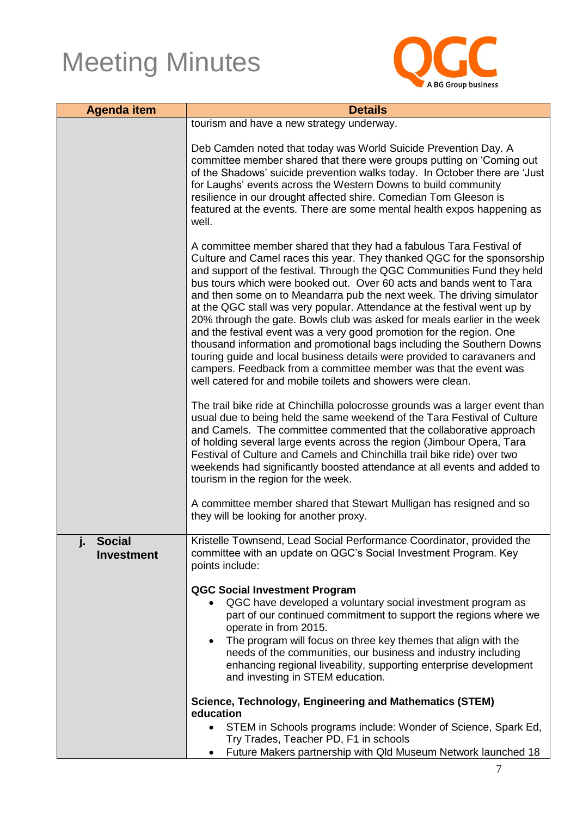

| <b>Agenda item</b>                       | <b>Details</b>                                                                                                                                                                                                                                                                                                                                                                                                                                                                                                                                                                                                                                                                                                                                                                                                                                                                                                                                                                       |
|------------------------------------------|--------------------------------------------------------------------------------------------------------------------------------------------------------------------------------------------------------------------------------------------------------------------------------------------------------------------------------------------------------------------------------------------------------------------------------------------------------------------------------------------------------------------------------------------------------------------------------------------------------------------------------------------------------------------------------------------------------------------------------------------------------------------------------------------------------------------------------------------------------------------------------------------------------------------------------------------------------------------------------------|
|                                          | tourism and have a new strategy underway.                                                                                                                                                                                                                                                                                                                                                                                                                                                                                                                                                                                                                                                                                                                                                                                                                                                                                                                                            |
|                                          | Deb Camden noted that today was World Suicide Prevention Day. A<br>committee member shared that there were groups putting on 'Coming out<br>of the Shadows' suicide prevention walks today. In October there are 'Just<br>for Laughs' events across the Western Downs to build community<br>resilience in our drought affected shire. Comedian Tom Gleeson is<br>featured at the events. There are some mental health expos happening as<br>well.                                                                                                                                                                                                                                                                                                                                                                                                                                                                                                                                    |
|                                          | A committee member shared that they had a fabulous Tara Festival of<br>Culture and Camel races this year. They thanked QGC for the sponsorship<br>and support of the festival. Through the QGC Communities Fund they held<br>bus tours which were booked out. Over 60 acts and bands went to Tara<br>and then some on to Meandarra pub the next week. The driving simulator<br>at the QGC stall was very popular. Attendance at the festival went up by<br>20% through the gate. Bowls club was asked for meals earlier in the week<br>and the festival event was a very good promotion for the region. One<br>thousand information and promotional bags including the Southern Downs<br>touring guide and local business details were provided to caravaners and<br>campers. Feedback from a committee member was that the event was<br>well catered for and mobile toilets and showers were clean.<br>The trail bike ride at Chinchilla polocrosse grounds was a larger event than |
|                                          | usual due to being held the same weekend of the Tara Festival of Culture<br>and Camels. The committee commented that the collaborative approach<br>of holding several large events across the region (Jimbour Opera, Tara<br>Festival of Culture and Camels and Chinchilla trail bike ride) over two<br>weekends had significantly boosted attendance at all events and added to<br>tourism in the region for the week.                                                                                                                                                                                                                                                                                                                                                                                                                                                                                                                                                              |
|                                          | A committee member shared that Stewart Mulligan has resigned and so<br>they will be looking for another proxy.                                                                                                                                                                                                                                                                                                                                                                                                                                                                                                                                                                                                                                                                                                                                                                                                                                                                       |
| <b>Social</b><br>j.<br><b>Investment</b> | Kristelle Townsend, Lead Social Performance Coordinator, provided the<br>committee with an update on QGC's Social Investment Program. Key<br>points include:                                                                                                                                                                                                                                                                                                                                                                                                                                                                                                                                                                                                                                                                                                                                                                                                                         |
|                                          | <b>QGC Social Investment Program</b><br>QGC have developed a voluntary social investment program as<br>$\bullet$<br>part of our continued commitment to support the regions where we<br>operate in from 2015.<br>The program will focus on three key themes that align with the<br>needs of the communities, our business and industry including<br>enhancing regional liveability, supporting enterprise development<br>and investing in STEM education.                                                                                                                                                                                                                                                                                                                                                                                                                                                                                                                            |
|                                          | Science, Technology, Engineering and Mathematics (STEM)<br>education<br>STEM in Schools programs include: Wonder of Science, Spark Ed,<br>Try Trades, Teacher PD, F1 in schools                                                                                                                                                                                                                                                                                                                                                                                                                                                                                                                                                                                                                                                                                                                                                                                                      |
|                                          | Future Makers partnership with Qld Museum Network launched 18<br>٠                                                                                                                                                                                                                                                                                                                                                                                                                                                                                                                                                                                                                                                                                                                                                                                                                                                                                                                   |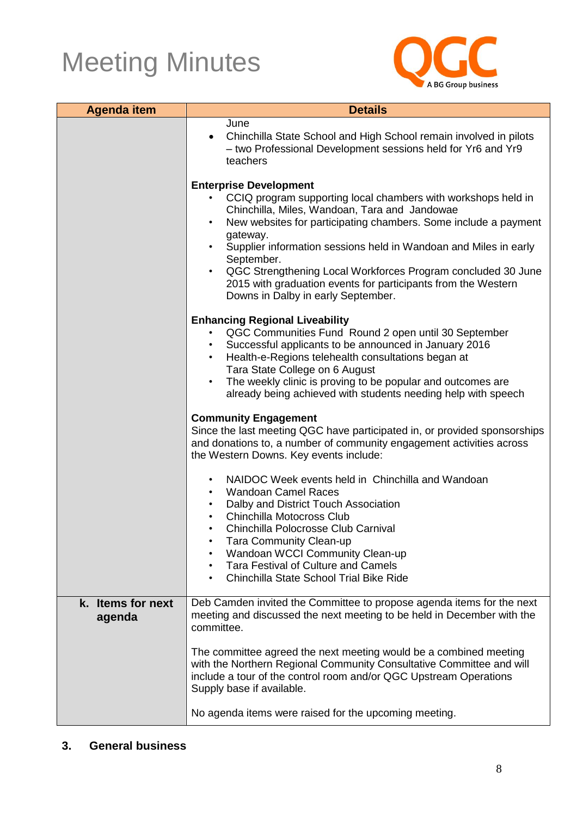

| <b>Agenda item</b>          | <b>Details</b>                                                                                                                                                                                                                                                                                                                                                                                                                                                                                                    |
|-----------------------------|-------------------------------------------------------------------------------------------------------------------------------------------------------------------------------------------------------------------------------------------------------------------------------------------------------------------------------------------------------------------------------------------------------------------------------------------------------------------------------------------------------------------|
|                             | June<br>Chinchilla State School and High School remain involved in pilots<br>- two Professional Development sessions held for Yr6 and Yr9<br>teachers                                                                                                                                                                                                                                                                                                                                                             |
|                             | <b>Enterprise Development</b><br>CCIQ program supporting local chambers with workshops held in<br>Chinchilla, Miles, Wandoan, Tara and Jandowae<br>New websites for participating chambers. Some include a payment<br>$\bullet$<br>gateway.<br>Supplier information sessions held in Wandoan and Miles in early<br>September.<br>QGC Strengthening Local Workforces Program concluded 30 June<br>$\bullet$<br>2015 with graduation events for participants from the Western<br>Downs in Dalby in early September. |
|                             | <b>Enhancing Regional Liveability</b><br>QGC Communities Fund Round 2 open until 30 September<br>Successful applicants to be announced in January 2016<br>Health-e-Regions telehealth consultations began at<br>Tara State College on 6 August<br>The weekly clinic is proving to be popular and outcomes are<br>$\bullet$<br>already being achieved with students needing help with speech                                                                                                                       |
|                             | <b>Community Engagement</b><br>Since the last meeting QGC have participated in, or provided sponsorships<br>and donations to, a number of community engagement activities across<br>the Western Downs. Key events include:                                                                                                                                                                                                                                                                                        |
|                             | NAIDOC Week events held in Chinchilla and Wandoan<br>$\bullet$<br><b>Wandoan Camel Races</b><br>$\bullet$<br>Dalby and District Touch Association<br>$\bullet$<br>Chinchilla Motocross Club<br>$\bullet$<br>Chinchilla Polocrosse Club Carnival<br>$\bullet$                                                                                                                                                                                                                                                      |
|                             | <b>Tara Community Clean-up</b><br>$\bullet$<br><b>Wandoan WCCI Community Clean-up</b><br>Tara Festival of Culture and Camels<br>$\bullet$<br>Chinchilla State School Trial Bike Ride                                                                                                                                                                                                                                                                                                                              |
| k. Items for next<br>agenda | Deb Camden invited the Committee to propose agenda items for the next<br>meeting and discussed the next meeting to be held in December with the<br>committee.                                                                                                                                                                                                                                                                                                                                                     |
|                             | The committee agreed the next meeting would be a combined meeting<br>with the Northern Regional Community Consultative Committee and will<br>include a tour of the control room and/or QGC Upstream Operations<br>Supply base if available.                                                                                                                                                                                                                                                                       |
|                             | No agenda items were raised for the upcoming meeting.                                                                                                                                                                                                                                                                                                                                                                                                                                                             |

#### **3. General business**